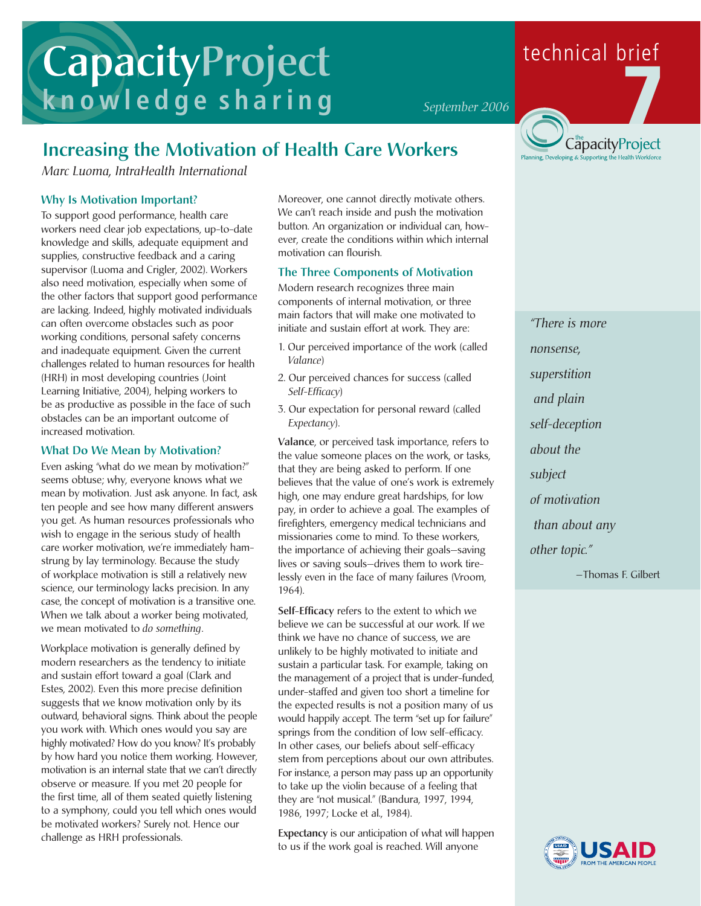# **CapacityProject knowledge sharing**

### **Increasing the Motivation of Health Care Workers**

*Marc Luoma, IntraHealth International*

#### **Why Is Motivation Important?**

To support good performance, health care workers need clear job expectations, up-to-date knowledge and skills, adequate equipment and supplies, constructive feedback and a caring supervisor (Luoma and Crigler, 2002). Workers also need motivation, especially when some of the other factors that support good performance are lacking. Indeed, highly motivated individuals can often overcome obstacles such as poor working conditions, personal safety concerns and inadequate equipment. Given the current challenges related to human resources for health (HRH) in most developing countries (Joint Learning Initiative, 2004), helping workers to be as productive as possible in the face of such obstacles can be an important outcome of increased motivation.

#### **What Do We Mean by Motivation?**

Even asking "what do we mean by motivation?" seems obtuse; why, everyone knows what we mean by motivation. Just ask anyone. In fact, ask ten people and see how many different answers you get. As human resources professionals who wish to engage in the serious study of health care worker motivation, we're immediately hamstrung by lay terminology. Because the study of workplace motivation is still a relatively new science, our terminology lacks precision. In any case, the concept of motivation is a transitive one. When we talk about a worker being motivated, we mean motivated to *do something*.

Workplace motivation is generally defined by modern researchers as the tendency to initiate and sustain effort toward a goal (Clark and Estes, 2002). Even this more precise definition suggests that we know motivation only by its outward, behavioral signs. Think about the people you work with. Which ones would you say are highly motivated? How do you know? It's probably by how hard you notice them working. However, motivation is an internal state that we can't directly observe or measure. If you met 20 people for the first time, all of them seated quietly listening to a symphony, could you tell which ones would be motivated workers? Surely not. Hence our challenge as HRH professionals.

Moreover, one cannot directly motivate others. We can't reach inside and push the motivation button. An organization or individual can, however, create the conditions within which internal motivation can flourish.

#### **The Three Components of Motivation**

Modern research recognizes three main components of internal motivation, or three main factors that will make one motivated to initiate and sustain effort at work. They are:

- 1. Our perceived importance of the work (called *Valance*)
- 2. Our perceived chances for success (called *Self-Efficacy*)
- 3. Our expectation for personal reward (called *Expectancy*).

**Valance**, or perceived task importance, refers to the value someone places on the work, or tasks, that they are being asked to perform. If one believes that the value of one's work is extremely high, one may endure great hardships, for low pay, in order to achieve a goal. The examples of firefighters, emergency medical technicians and missionaries come to mind. To these workers, the importance of achieving their goals—saving lives or saving souls—drives them to work tirelessly even in the face of many failures (Vroom, 1964).

**Self-Efficacy** refers to the extent to which we believe we can be successful at our work. If we think we have no chance of success, we are unlikely to be highly motivated to initiate and sustain a particular task. For example, taking on the management of a project that is under-funded, under-staffed and given too short a timeline for the expected results is not a position many of us would happily accept. The term "set up for failure" springs from the condition of low self-efficacy. In other cases, our beliefs about self-efficacy stem from perceptions about our own attributes. For instance, a person may pass up an opportunity to take up the violin because of a feeling that they are "not musical." (Bandura, 1997, 1994, 1986, 1997; Locke et al., 1984).

**Expectancy** is our anticipation of what will happen to us if the work goal is reached. Will anyone



*"There is more nonsense, superstition and plain self-deception about the subject of motivation than about any other topic." —*Thomas F. Gilbert



## technical brief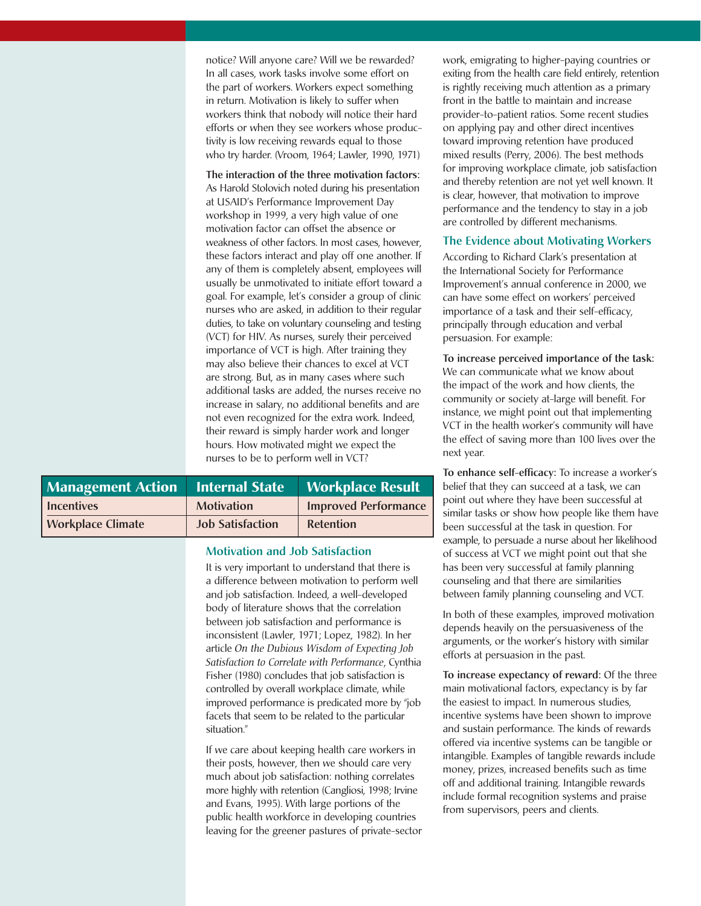notice? Will anyone care? Will we be rewarded? In all cases, work tasks involve some effort on the part of workers. Workers expect something in return. Motivation is likely to suffer when workers think that nobody will notice their hard efforts or when they see workers whose productivity is low receiving rewards equal to those who try harder. (Vroom, 1964; Lawler, 1990, 1971)

**The interaction of the three motivation factors:** As Harold Stolovich noted during his presentation at USAID's Performance Improvement Day workshop in 1999, a very high value of one motivation factor can offset the absence or weakness of other factors. In most cases, however, these factors interact and play off one another. If any of them is completely absent, employees will usually be unmotivated to initiate effort toward a goal. For example, let's consider a group of clinic nurses who are asked, in addition to their regular duties, to take on voluntary counseling and testing (VCT) for HIV. As nurses, surely their perceived importance of VCT is high. After training they may also believe their chances to excel at VCT are strong. But, as in many cases where such additional tasks are added, the nurses receive no increase in salary, no additional benefits and are not even recognized for the extra work. Indeed, their reward is simply harder work and longer hours. How motivated might we expect the nurses to be to perform well in VCT?

| <b>Management Action   Internal State</b> |                         | <b>Workplace Result</b>     |
|-------------------------------------------|-------------------------|-----------------------------|
| <b>Incentives</b>                         | <b>Motivation</b>       | <b>Improved Performance</b> |
| <b>Workplace Climate</b>                  | <b>Job Satisfaction</b> | Retention                   |

#### **Motivation and Job Satisfaction**

It is very important to understand that there is a difference between motivation to perform well and job satisfaction. Indeed, a well-developed body of literature shows that the correlation between job satisfaction and performance is inconsistent (Lawler, 1971; Lopez, 1982). In her article *On the Dubious Wisdom of Expecting Job Satisfaction to Correlate with Performance*, Cynthia Fisher (1980) concludes that job satisfaction is controlled by overall workplace climate, while improved performance is predicated more by "job facets that seem to be related to the particular situation."

If we care about keeping health care workers in their posts, however, then we should care very much about job satisfaction: nothing correlates more highly with retention (Cangliosi, 1998; Irvine and Evans, 1995). With large portions of the public health workforce in developing countries leaving for the greener pastures of private-sector

work, emigrating to higher-paying countries or exiting from the health care field entirely, retention is rightly receiving much attention as a primary front in the battle to maintain and increase provider-to-patient ratios. Some recent studies on applying pay and other direct incentives toward improving retention have produced mixed results (Perry, 2006). The best methods for improving workplace climate, job satisfaction and thereby retention are not yet well known. It is clear, however, that motivation to improve performance and the tendency to stay in a job are controlled by different mechanisms.

#### **The Evidence about Motivating Workers**

According to Richard Clark's presentation at the International Society for Performance Improvement's annual conference in 2000, we can have some effect on workers' perceived importance of a task and their self-efficacy, principally through education and verbal persuasion. For example:

**To increase perceived importance of the task:** We can communicate what we know about the impact of the work and how clients, the community or society at-large will benefit. For instance, we might point out that implementing VCT in the health worker's community will have the effect of saving more than 100 lives over the next year.

**To enhance self-efficacy:** To increase a worker's belief that they can succeed at a task, we can point out where they have been successful at similar tasks or show how people like them have been successful at the task in question. For example, to persuade a nurse about her likelihood of success at VCT we might point out that she has been very successful at family planning counseling and that there are similarities between family planning counseling and VCT.

In both of these examples, improved motivation depends heavily on the persuasiveness of the arguments, or the worker's history with similar efforts at persuasion in the past.

**To increase expectancy of reward:** Of the three main motivational factors, expectancy is by far the easiest to impact. In numerous studies, incentive systems have been shown to improve and sustain performance. The kinds of rewards offered via incentive systems can be tangible or intangible. Examples of tangible rewards include money, prizes, increased benefits such as time off and additional training. Intangible rewards include formal recognition systems and praise from supervisors, peers and clients.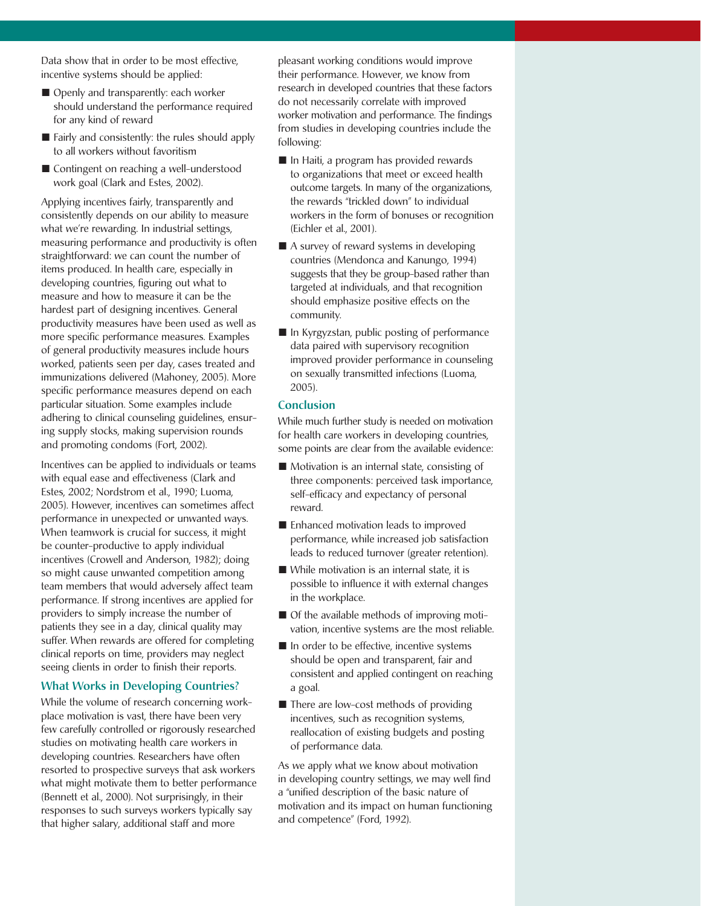Data show that in order to be most effective, incentive systems should be applied:

- Openly and transparently: each worker should understand the performance required for any kind of reward
- $\blacksquare$  Fairly and consistently: the rules should apply to all workers without favoritism
- Contingent on reaching a well-understood work goal (Clark and Estes, 2002).

Applying incentives fairly, transparently and consistently depends on our ability to measure what we're rewarding. In industrial settings, measuring performance and productivity is often straightforward: we can count the number of items produced. In health care, especially in developing countries, figuring out what to measure and how to measure it can be the hardest part of designing incentives. General productivity measures have been used as well as more specific performance measures. Examples of general productivity measures include hours worked, patients seen per day, cases treated and immunizations delivered (Mahoney, 2005). More specific performance measures depend on each particular situation. Some examples include adhering to clinical counseling guidelines, ensuring supply stocks, making supervision rounds and promoting condoms (Fort, 2002).

Incentives can be applied to individuals or teams with equal ease and effectiveness (Clark and Estes, 2002; Nordstrom et al., 1990; Luoma, 2005). However, incentives can sometimes affect performance in unexpected or unwanted ways. When teamwork is crucial for success, it might be counter-productive to apply individual incentives (Crowell and Anderson, 1982); doing so might cause unwanted competition among team members that would adversely affect team performance. If strong incentives are applied for providers to simply increase the number of patients they see in a day, clinical quality may suffer. When rewards are offered for completing clinical reports on time, providers may neglect seeing clients in order to finish their reports.

#### **What Works in Developing Countries?**

While the volume of research concerning workplace motivation is vast, there have been very few carefully controlled or rigorously researched studies on motivating health care workers in developing countries. Researchers have often resorted to prospective surveys that ask workers what might motivate them to better performance (Bennett et al., 2000). Not surprisingly, in their responses to such surveys workers typically say that higher salary, additional staff and more

pleasant working conditions would improve their performance. However, we know from research in developed countries that these factors do not necessarily correlate with improved worker motivation and performance. The findings from studies in developing countries include the following:

- $\blacksquare$  In Haiti, a program has provided rewards to organizations that meet or exceed health outcome targets. In many of the organizations, the rewards "trickled down" to individual workers in the form of bonuses or recognition (Eichler et al., 2001).
- $\blacksquare$  A survey of reward systems in developing countries (Mendonca and Kanungo, 1994) suggests that they be group-based rather than targeted at individuals, and that recognition should emphasize positive effects on the community.
- In Kyrgyzstan, public posting of performance data paired with supervisory recognition improved provider performance in counseling on sexually transmitted infections (Luoma, 2005).

#### **Conclusion**

While much further study is needed on motivation for health care workers in developing countries, some points are clear from the available evidence:

- $\blacksquare$  Motivation is an internal state, consisting of three components: perceived task importance, self-efficacy and expectancy of personal reward.
- $\blacksquare$  Enhanced motivation leads to improved performance, while increased job satisfaction leads to reduced turnover (greater retention).
- $\blacksquare$  While motivation is an internal state, it is possible to influence it with external changes in the workplace.
- $\blacksquare$  Of the available methods of improving motivation, incentive systems are the most reliable.
- $\blacksquare$  In order to be effective, incentive systems should be open and transparent, fair and consistent and applied contingent on reaching a goal.
- $\blacksquare$  There are low-cost methods of providing incentives, such as recognition systems, reallocation of existing budgets and posting of performance data.

As we apply what we know about motivation in developing country settings, we may well find a "unified description of the basic nature of motivation and its impact on human functioning and competence" (Ford, 1992).